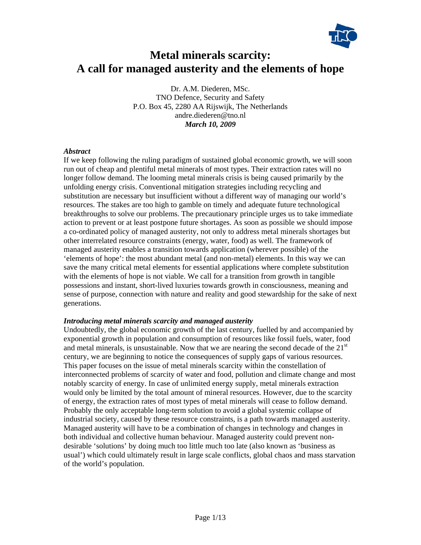

# **Metal minerals scarcity: A call for managed austerity and the elements of hope**

Dr. A.M. Diederen, MSc. TNO Defence, Security and Safety P.O. Box 45, 2280 AA Rijswijk, The Netherlands andre.diederen@tno.nl *March 10, 2009* 

#### *Abstract*

If we keep following the ruling paradigm of sustained global economic growth, we will soon run out of cheap and plentiful metal minerals of most types. Their extraction rates will no longer follow demand. The looming metal minerals crisis is being caused primarily by the unfolding energy crisis. Conventional mitigation strategies including recycling and substitution are necessary but insufficient without a different way of managing our world's resources. The stakes are too high to gamble on timely and adequate future technological breakthroughs to solve our problems. The precautionary principle urges us to take immediate action to prevent or at least postpone future shortages. As soon as possible we should impose a co-ordinated policy of managed austerity, not only to address metal minerals shortages but other interrelated resource constraints (energy, water, food) as well. The framework of managed austerity enables a transition towards application (wherever possible) of the 'elements of hope': the most abundant metal (and non-metal) elements. In this way we can save the many critical metal elements for essential applications where complete substitution with the elements of hope is not viable. We call for a transition from growth in tangible possessions and instant, short-lived luxuries towards growth in consciousness, meaning and sense of purpose, connection with nature and reality and good stewardship for the sake of next generations.

#### *Introducing metal minerals scarcity and managed austerity*

Undoubtedly, the global economic growth of the last century, fuelled by and accompanied by exponential growth in population and consumption of resources like fossil fuels, water, food and metal minerals, is unsustainable. Now that we are nearing the second decade of the  $21<sup>st</sup>$ century, we are beginning to notice the consequences of supply gaps of various resources. This paper focuses on the issue of metal minerals scarcity within the constellation of interconnected problems of scarcity of water and food, pollution and climate change and most notably scarcity of energy. In case of unlimited energy supply, metal minerals extraction would only be limited by the total amount of mineral resources. However, due to the scarcity of energy, the extraction rates of most types of metal minerals will cease to follow demand. Probably the only acceptable long-term solution to avoid a global systemic collapse of industrial society, caused by these resource constraints, is a path towards managed austerity. Managed austerity will have to be a combination of changes in technology and changes in both individual and collective human behaviour. Managed austerity could prevent nondesirable 'solutions' by doing much too little much too late (also known as 'business as usual') which could ultimately result in large scale conflicts, global chaos and mass starvation of the world's population.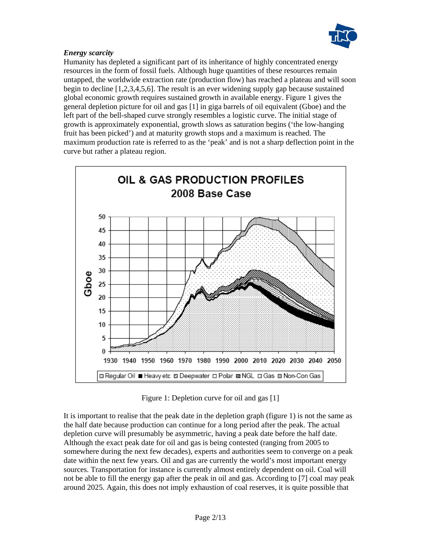

# *Energy scarcity*

Humanity has depleted a significant part of its inheritance of highly concentrated energy resources in the form of fossil fuels. Although huge quantities of these resources remain untapped, the worldwide extraction rate (production flow) has reached a plateau and will soon begin to decline [1,2,3,4,5,6]. The result is an ever widening supply gap because sustained global economic growth requires sustained growth in available energy. Figure 1 gives the general depletion picture for oil and gas [1] in giga barrels of oil equivalent (Gboe) and the left part of the bell-shaped curve strongly resembles a logistic curve. The initial stage of growth is approximately exponential, growth slows as saturation begins ('the low-hanging fruit has been picked') and at maturity growth stops and a maximum is reached. The maximum production rate is referred to as the 'peak' and is not a sharp deflection point in the curve but rather a plateau region.



Figure 1: Depletion curve for oil and gas [1]

It is important to realise that the peak date in the depletion graph (figure 1) is not the same as the half date because production can continue for a long period after the peak. The actual depletion curve will presumably be asymmetric, having a peak date before the half date. Although the exact peak date for oil and gas is being contested (ranging from 2005 to somewhere during the next few decades), experts and authorities seem to converge on a peak date within the next few years. Oil and gas are currently the world's most important energy sources. Transportation for instance is currently almost entirely dependent on oil. Coal will not be able to fill the energy gap after the peak in oil and gas. According to [7] coal may peak around 2025. Again, this does not imply exhaustion of coal reserves, it is quite possible that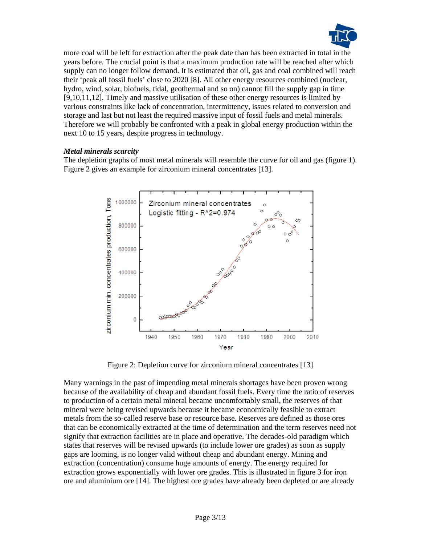

more coal will be left for extraction after the peak date than has been extracted in total in the years before. The crucial point is that a maximum production rate will be reached after which supply can no longer follow demand. It is estimated that oil, gas and coal combined will reach their 'peak all fossil fuels' close to 2020 [8]. All other energy resources combined (nuclear, hydro, wind, solar, biofuels, tidal, geothermal and so on) cannot fill the supply gap in time [9,10,11,12]. Timely and massive utilisation of these other energy resources is limited by various constraints like lack of concentration, intermittency, issues related to conversion and storage and last but not least the required massive input of fossil fuels and metal minerals. Therefore we will probably be confronted with a peak in global energy production within the next 10 to 15 years, despite progress in technology.

#### *Metal minerals scarcity*

The depletion graphs of most metal minerals will resemble the curve for oil and gas (figure 1). Figure 2 gives an example for zirconium mineral concentrates [13].



Figure 2: Depletion curve for zirconium mineral concentrates [13]

Many warnings in the past of impending metal minerals shortages have been proven wrong because of the availability of cheap and abundant fossil fuels. Every time the ratio of reserves to production of a certain metal mineral became uncomfortably small, the reserves of that mineral were being revised upwards because it became economically feasible to extract metals from the so-called reserve base or resource base. Reserves are defined as those ores that can be economically extracted at the time of determination and the term reserves need not signify that extraction facilities are in place and operative. The decades-old paradigm which states that reserves will be revised upwards (to include lower ore grades) as soon as supply gaps are looming, is no longer valid without cheap and abundant energy. Mining and extraction (concentration) consume huge amounts of energy. The energy required for extraction grows exponentially with lower ore grades. This is illustrated in figure 3 for iron ore and aluminium ore [14]. The highest ore grades have already been depleted or are already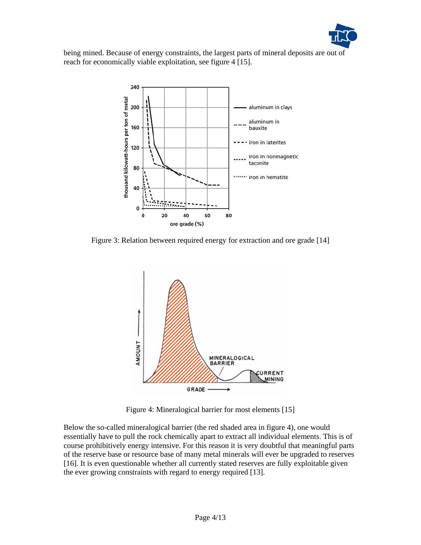

being mined. Because of energy constraints, the largest parts of mineral deposits are out of reach for economically viable exploitation, see figure 4 [15].



Figure 3: Relation between required energy for extraction and ore grade [14]



Figure 4: Mineralogical barrier for most elements [15]

Below the so-called mineralogical barrier (the red shaded area in figure 4), one would essentially have to pull the rock chemically apart to extract all individual elements. This is of course prohibitively energy intensive. For this reason it is very doubtful that meaningful parts of the reserve base or resource base of many metal minerals will ever be upgraded to reserves [16]. It is even questionable whether all currently stated reserves are fully exploitable given the ever growing constraints with regard to energy required [13].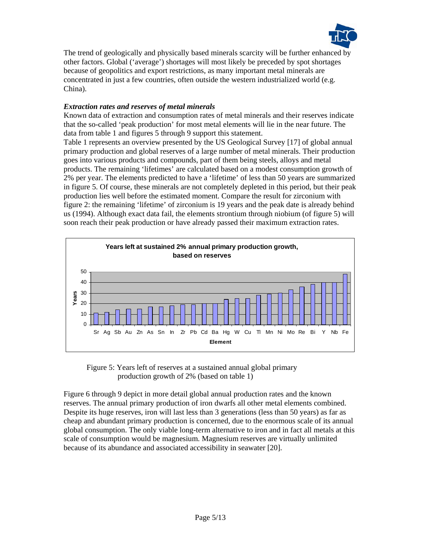

The trend of geologically and physically based minerals scarcity will be further enhanced by other factors. Global ('average') shortages will most likely be preceded by spot shortages because of geopolitics and export restrictions, as many important metal minerals are concentrated in just a few countries, often outside the western industrialized world (e.g. China).

# *Extraction rates and reserves of metal minerals*

Known data of extraction and consumption rates of metal minerals and their reserves indicate that the so-called 'peak production' for most metal elements will lie in the near future. The data from table 1 and figures 5 through 9 support this statement.

Table 1 represents an overview presented by the US Geological Survey [17] of global annual primary production and global reserves of a large number of metal minerals. Their production goes into various products and compounds, part of them being steels, alloys and metal products. The remaining 'lifetimes' are calculated based on a modest consumption growth of 2% per year. The elements predicted to have a 'lifetime' of less than 50 years are summarized in figure 5. Of course, these minerals are not completely depleted in this period, but their peak production lies well before the estimated moment. Compare the result for zirconium with figure 2: the remaining 'lifetime' of zirconium is 19 years and the peak date is already behind us (1994). Although exact data fail, the elements strontium through niobium (of figure 5) will soon reach their peak production or have already passed their maximum extraction rates.



Figure 5: Years left of reserves at a sustained annual global primary production growth of 2% (based on table 1)

Figure 6 through 9 depict in more detail global annual production rates and the known reserves. The annual primary production of iron dwarfs all other metal elements combined. Despite its huge reserves, iron will last less than 3 generations (less than 50 years) as far as cheap and abundant primary production is concerned, due to the enormous scale of its annual global consumption. The only viable long-term alternative to iron and in fact all metals at this scale of consumption would be magnesium. Magnesium reserves are virtually unlimited because of its abundance and associated accessibility in seawater [20].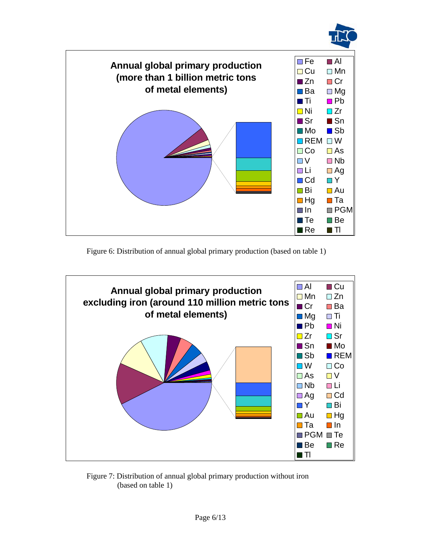



Figure 6: Distribution of annual global primary production (based on table 1)



Figure 7: Distribution of annual global primary production without iron (based on table 1)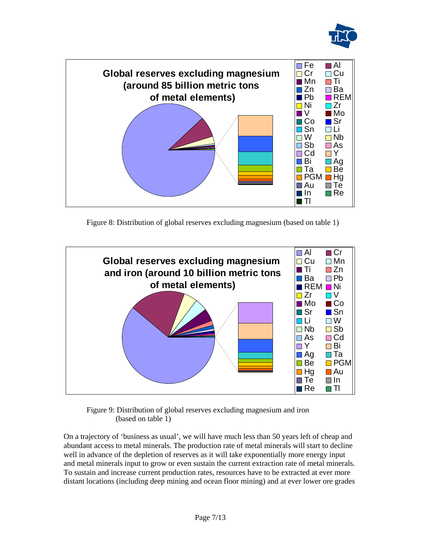



Figure 8: Distribution of global reserves excluding magnesium (based on table 1)



Figure 9: Distribution of global reserves excluding magnesium and iron (based on table 1)

On a trajectory of 'business as usual', we will have much less than 50 years left of cheap and abundant access to metal minerals. The production rate of metal minerals will start to decline well in advance of the depletion of reserves as it will take exponentially more energy input and metal minerals input to grow or even sustain the current extraction rate of metal minerals. To sustain and increase current production rates, resources have to be extracted at ever more distant locations (including deep mining and ocean floor mining) and at ever lower ore grades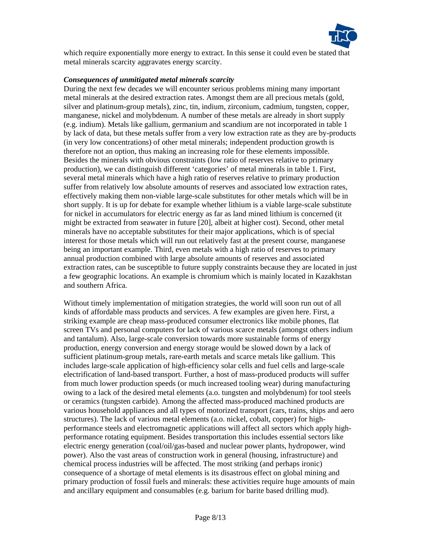

which require exponentially more energy to extract. In this sense it could even be stated that metal minerals scarcity aggravates energy scarcity.

#### *Consequences of unmitigated metal minerals scarcity*

During the next few decades we will encounter serious problems mining many important metal minerals at the desired extraction rates. Amongst them are all precious metals (gold, silver and platinum-group metals), zinc, tin, indium, zirconium, cadmium, tungsten, copper, manganese, nickel and molybdenum. A number of these metals are already in short supply (e.g. indium). Metals like gallium, germanium and scandium are not incorporated in table 1 by lack of data, but these metals suffer from a very low extraction rate as they are by-products (in very low concentrations) of other metal minerals; independent production growth is therefore not an option, thus making an increasing role for these elements impossible. Besides the minerals with obvious constraints (low ratio of reserves relative to primary production), we can distinguish different 'categories' of metal minerals in table 1. First, several metal minerals which have a high ratio of reserves relative to primary production suffer from relatively low absolute amounts of reserves and associated low extraction rates, effectively making them non-viable large-scale substitutes for other metals which will be in short supply. It is up for debate for example whether lithium is a viable large-scale substitute for nickel in accumulators for electric energy as far as land mined lithium is concerned (it might be extracted from seawater in future [20], albeit at higher cost). Second, other metal minerals have no acceptable substitutes for their major applications, which is of special interest for those metals which will run out relatively fast at the present course, manganese being an important example. Third, even metals with a high ratio of reserves to primary annual production combined with large absolute amounts of reserves and associated extraction rates, can be susceptible to future supply constraints because they are located in just a few geographic locations. An example is chromium which is mainly located in Kazakhstan and southern Africa.

Without timely implementation of mitigation strategies, the world will soon run out of all kinds of affordable mass products and services. A few examples are given here. First, a striking example are cheap mass-produced consumer electronics like mobile phones, flat screen TVs and personal computers for lack of various scarce metals (amongst others indium and tantalum). Also, large-scale conversion towards more sustainable forms of energy production, energy conversion and energy storage would be slowed down by a lack of sufficient platinum-group metals, rare-earth metals and scarce metals like gallium. This includes large-scale application of high-efficiency solar cells and fuel cells and large-scale electrification of land-based transport. Further, a host of mass-produced products will suffer from much lower production speeds (or much increased tooling wear) during manufacturing owing to a lack of the desired metal elements (a.o. tungsten and molybdenum) for tool steels or ceramics (tungsten carbide). Among the affected mass-produced machined products are various household appliances and all types of motorized transport (cars, trains, ships and aero structures). The lack of various metal elements (a.o. nickel, cobalt, copper) for highperformance steels and electromagnetic applications will affect all sectors which apply highperformance rotating equipment. Besides transportation this includes essential sectors like electric energy generation (coal/oil/gas-based and nuclear power plants, hydropower, wind power). Also the vast areas of construction work in general (housing, infrastructure) and chemical process industries will be affected. The most striking (and perhaps ironic) consequence of a shortage of metal elements is its disastrous effect on global mining and primary production of fossil fuels and minerals: these activities require huge amounts of main and ancillary equipment and consumables (e.g. barium for barite based drilling mud).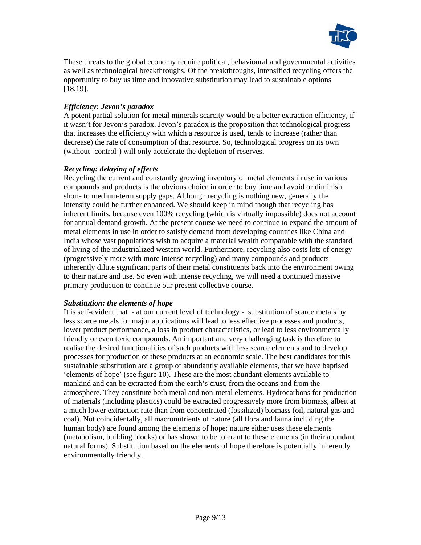

These threats to the global economy require political, behavioural and governmental activities as well as technological breakthroughs. Of the breakthroughs, intensified recycling offers the opportunity to buy us time and innovative substitution may lead to sustainable options [18,19].

### *Efficiency: Jevon's paradox*

A potent partial solution for metal minerals scarcity would be a better extraction efficiency, if it wasn't for Jevon's paradox. Jevon's paradox is the proposition that technological progress that increases the efficiency with which a resource is used, tends to increase (rather than decrease) the rate of consumption of that resource. So, technological progress on its own (without 'control') will only accelerate the depletion of reserves.

#### *Recycling: delaying of effects*

Recycling the current and constantly growing inventory of metal elements in use in various compounds and products is the obvious choice in order to buy time and avoid or diminish short- to medium-term supply gaps. Although recycling is nothing new, generally the intensity could be further enhanced. We should keep in mind though that recycling has inherent limits, because even 100% recycling (which is virtually impossible) does not account for annual demand growth. At the present course we need to continue to expand the amount of metal elements in use in order to satisfy demand from developing countries like China and India whose vast populations wish to acquire a material wealth comparable with the standard of living of the industrialized western world. Furthermore, recycling also costs lots of energy (progressively more with more intense recycling) and many compounds and products inherently dilute significant parts of their metal constituents back into the environment owing to their nature and use. So even with intense recycling, we will need a continued massive primary production to continue our present collective course.

#### *Substitution: the elements of hope*

It is self-evident that - at our current level of technology - substitution of scarce metals by less scarce metals for major applications will lead to less effective processes and products, lower product performance, a loss in product characteristics, or lead to less environmentally friendly or even toxic compounds. An important and very challenging task is therefore to realise the desired functionalities of such products with less scarce elements and to develop processes for production of these products at an economic scale. The best candidates for this sustainable substitution are a group of abundantly available elements, that we have baptised 'elements of hope' (see figure 10). These are the most abundant elements available to mankind and can be extracted from the earth's crust, from the oceans and from the atmosphere. They constitute both metal and non-metal elements. Hydrocarbons for production of materials (including plastics) could be extracted progressively more from biomass, albeit at a much lower extraction rate than from concentrated (fossilized) biomass (oil, natural gas and coal). Not coincidentally, all macronutrients of nature (all flora and fauna including the human body) are found among the elements of hope: nature either uses these elements (metabolism, building blocks) or has shown to be tolerant to these elements (in their abundant natural forms). Substitution based on the elements of hope therefore is potentially inherently environmentally friendly.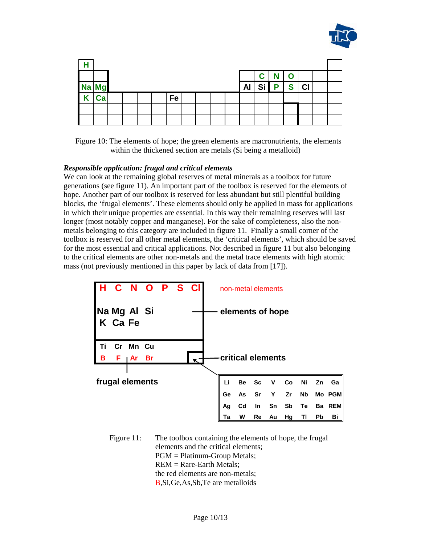

| Н           |    |  |  |  |  |      |  |  |  |  |    |             |   |             |                |  |
|-------------|----|--|--|--|--|------|--|--|--|--|----|-------------|---|-------------|----------------|--|
|             |    |  |  |  |  |      |  |  |  |  |    | $\mathbf C$ | N | $\mathbf O$ |                |  |
| Na Mg       |    |  |  |  |  |      |  |  |  |  | Al | Si          | P | S           | C <sub>l</sub> |  |
| $\mathbf K$ | Ca |  |  |  |  | Fe l |  |  |  |  |    |             |   |             |                |  |
|             |    |  |  |  |  |      |  |  |  |  |    |             |   |             |                |  |
|             |    |  |  |  |  |      |  |  |  |  |    |             |   |             |                |  |

Figure 10: The elements of hope; the green elements are macronutrients, the elements within the thickened section are metals (Si being a metalloid)

#### *Responsible application: frugal and critical elements*

We can look at the remaining global reserves of metal minerals as a toolbox for future generations (see figure 11). An important part of the toolbox is reserved for the elements of hope. Another part of our toolbox is reserved for less abundant but still plentiful building blocks, the 'frugal elements'. These elements should only be applied in mass for applications in which their unique properties are essential. In this way their remaining reserves will last longer (most notably copper and manganese). For the sake of completeness, also the nonmetals belonging to this category are included in figure 11. Finally a small corner of the toolbox is reserved for all other metal elements, the 'critical elements', which should be saved for the most essential and critical applications. Not described in figure 11 but also belonging to the critical elements are other non-metals and the metal trace elements with high atomic mass (not previously mentioned in this paper by lack of data from [17]).



Figure 11: The toolbox containing the elements of hope, the frugal elements and the critical elements; PGM = Platinum-Group Metals; REM = Rare-Earth Metals; the red elements are non-metals; B,Si,Ge,As,Sb,Te are metalloids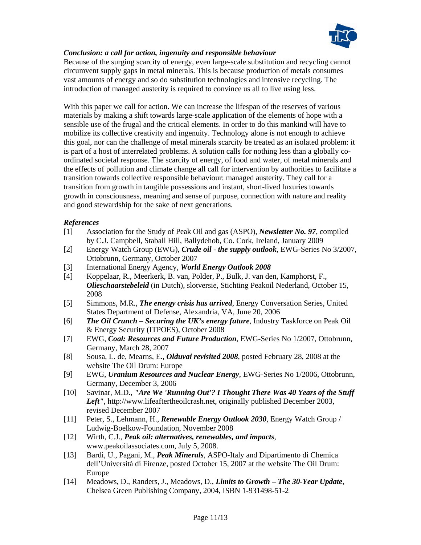

# *Conclusion: a call for action, ingenuity and responsible behaviour*

Because of the surging scarcity of energy, even large-scale substitution and recycling cannot circumvent supply gaps in metal minerals. This is because production of metals consumes vast amounts of energy and so do substitution technologies and intensive recycling. The introduction of managed austerity is required to convince us all to live using less.

With this paper we call for action. We can increase the lifespan of the reserves of various materials by making a shift towards large-scale application of the elements of hope with a sensible use of the frugal and the critical elements. In order to do this mankind will have to mobilize its collective creativity and ingenuity. Technology alone is not enough to achieve this goal, nor can the challenge of metal minerals scarcity be treated as an isolated problem: it is part of a host of interrelated problems. A solution calls for nothing less than a globally coordinated societal response. The scarcity of energy, of food and water, of metal minerals and the effects of pollution and climate change all call for intervention by authorities to facilitate a transition towards collective responsible behaviour: managed austerity. They call for a transition from growth in tangible possessions and instant, short-lived luxuries towards growth in consciousness, meaning and sense of purpose, connection with nature and reality and good stewardship for the sake of next generations.

# *References*

- [1] Association for the Study of Peak Oil and gas (ASPO), *Newsletter No. 97*, compiled by C.J. Campbell, Staball Hill, Ballydehob, Co. Cork, Ireland, January 2009
- [2] Energy Watch Group (EWG), *Crude oil the supply outlook*, EWG-Series No 3/2007, Ottobrunn, Germany, October 2007
- [3] International Energy Agency, *World Energy Outlook 2008*
- [4] Koppelaar, R., Meerkerk, B. van, Polder, P., Bulk, J. van den, Kamphorst, F., *Olieschaarstebeleid* (in Dutch), slotversie, Stichting Peakoil Nederland, October 15, 2008
- [5] Simmons, M.R., *The energy crisis has arrived*, Energy Conversation Series, United States Department of Defense, Alexandria, VA, June 20, 2006
- [6] *The Oil Crunch Securing the UK's energy future*, Industry Taskforce on Peak Oil & Energy Security (ITPOES), October 2008
- [7] EWG, *Coal: Resources and Future Production*, EWG-Series No 1/2007, Ottobrunn, Germany, March 28, 2007
- [8] Sousa, L. de, Mearns, E., *Olduvai revisited 2008*, posted February 28, 2008 at the website The Oil Drum: Europe
- [9] EWG, *Uranium Resources and Nuclear Energy*, EWG-Series No 1/2006, Ottobrunn, Germany, December 3, 2006
- [10] Savinar, M.D., *"Are We 'Running Out'? I Thought There Was 40 Years of the Stuff Left"*, http://www.lifeaftertheoilcrash.net, originally published December 2003, revised December 2007
- [11] Peter, S., Lehmann, H., *Renewable Energy Outlook 2030*, Energy Watch Group / Ludwig-Boelkow-Foundation, November 2008
- [12] Wirth, C.J., *Peak oil: alternatives, renewables, and impacts*, www.peakoilassociates.com, July 5, 2008.
- [13] Bardi, U., Pagani, M., *Peak Minerals*, ASPO-Italy and Dipartimento di Chemica dell'Università di Firenze, posted October 15, 2007 at the website The Oil Drum: Europe
- [14] Meadows, D., Randers, J., Meadows, D., *Limits to Growth The 30-Year Update*, Chelsea Green Publishing Company, 2004, ISBN 1-931498-51-2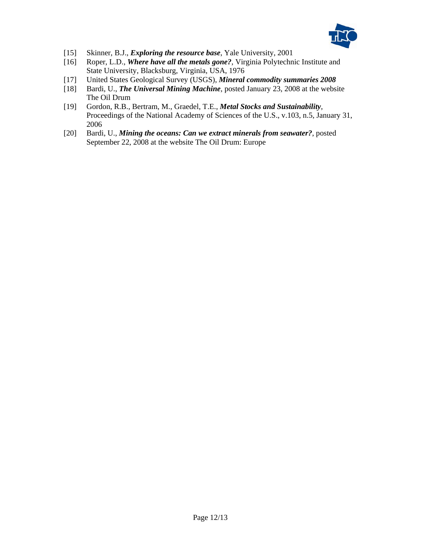

- [15] Skinner, B.J., *Exploring the resource base*, Yale University, 2001
- [16] Roper, L.D., *Where have all the metals gone?*, Virginia Polytechnic Institute and State University, Blacksburg, Virginia, USA, 1976
- [17] United States Geological Survey (USGS), *Mineral commodity summaries 2008*
- [18] Bardi, U., *The Universal Mining Machine*, posted January 23, 2008 at the website The Oil Drum
- [19] Gordon, R.B., Bertram, M., Graedel, T.E., *Metal Stocks and Sustainability*, Proceedings of the National Academy of Sciences of the U.S., v.103, n.5, January 31, 2006
- [20] Bardi, U., *Mining the oceans: Can we extract minerals from seawater?*, posted September 22, 2008 at the website The Oil Drum: Europe